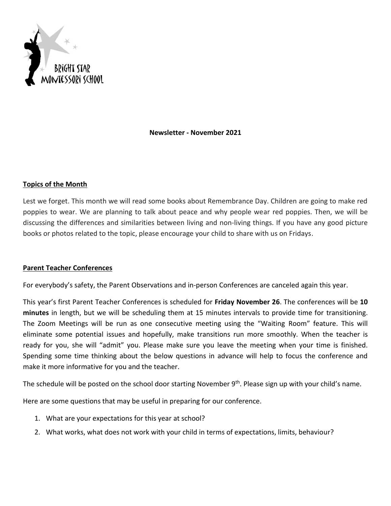

**Newsletter - November 2021**

## **Topics of the Month**

Lest we forget. This month we will read some books about Remembrance Day. Children are going to make red poppies to wear. We are planning to talk about peace and why people wear red poppies. Then, we will be discussing the differences and similarities between living and non-living things. If you have any good picture books or photos related to the topic, please encourage your child to share with us on Fridays.

### **Parent Teacher Conferences**

For everybody's safety, the Parent Observations and in-person Conferences are canceled again this year.

This year's first Parent Teacher Conferences is scheduled for **Friday November 26**. The conferences will be **10 minutes** in length, but we will be scheduling them at 15 minutes intervals to provide time for transitioning. The Zoom Meetings will be run as one consecutive meeting using the "Waiting Room" feature. This will eliminate some potential issues and hopefully, make transitions run more smoothly. When the teacher is ready for you, she will "admit" you. Please make sure you leave the meeting when your time is finished. Spending some time thinking about the below questions in advance will help to focus the conference and make it more informative for you and the teacher.

The schedule will be posted on the school door starting November 9<sup>th</sup>. Please sign up with your child's name.

Here are some questions that may be useful in preparing for our conference.

- 1. What are your expectations for this year at school?
- 2. What works, what does not work with your child in terms of expectations, limits, behaviour?